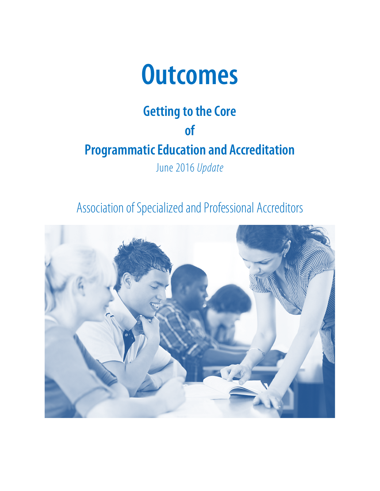

# **Getting to the Core of Programmatic Education and Accreditation** June 2016 *Update*

Association of Specialized and Professional Accreditors

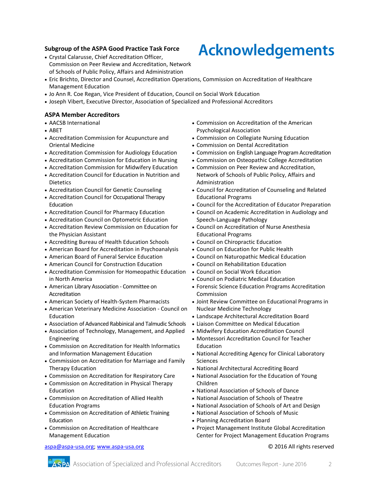#### **Subgroup of the ASPA Good Practice Task Force**

- Crystal Calarusse, Chief Accreditation Officer, Commission on Peer Review and Accreditation, Network of Schools of Public Policy, Affairs and Administration
- Eric Brichto, Director and Counsel, Accreditation Operations, Commission on Accreditation of Healthcare Management Education
- Jo Ann R. Coe Regan, Vice President of Education, Council on Social Work Education
- Joseph Vibert, Executive Director, Association of Specialized and Professional Accreditors

#### **ASPA Member Accreditors**

- AACSB International
- ABET
- Accreditation Commission for Acupuncture and Oriental Medicine
- Accreditation Commission for Audiology Education
- Accreditation Commission for Education in Nursing
- Accreditation Commission for Midwifery Education
- Accreditation Council for Education in Nutrition and Dietetics
- Accreditation Council for Genetic Counseling
- Accreditation Council for Occupational Therapy Education
- Accreditation Council for Pharmacy Education
- Accreditation Council on Optometric Education
- Accreditation Review Commission on Education for the Physician Assistant
- Accrediting Bureau of Health Education Schools
- American Board for Accreditation in Psychoanalysis
- American Board of Funeral Service Education
- American Council for Construction Education
- Accreditation Commission for Homeopathic Education in North America
- American Library Association Committee on Accreditation
- American Society of Health-System Pharmacists
- American Veterinary Medicine Association Council on Education
- Association of Advanced Rabbinical and Talmudic Schools
- Association of Technology, Management, and Applied Engineering
- Commission on Accreditation for Health Informatics and Information Management Education
- Commission on Accreditation for Marriage and Family Therapy Education
- Commission on Accreditation for Respiratory Care
- Commission on Accreditation in Physical Therapy Education
- Commission on Accreditation of Allied Health Education Programs
- Commission on Accreditation of Athletic Training Education
- Commission on Accreditation of Healthcare Management Education

#### [aspa@aspa-usa.org;](mailto:aspa@aspa-usa.org) [www.aspa-usa.org](http://www.aspa-usa.org/) © 2016 All rights reserved

- Commission on Accreditation of the American Psychological Association
- Commission on Collegiate Nursing Education
- Commission on Dental Accreditation
- Commission on English Language Program Accreditation
- Commission on Osteopathic College Accreditation
- Commission on Peer Review and Accreditation, Network of Schools of Public Policy, Affairs and Administration
- Council for Accreditation of Counseling and Related Educational Programs
- Council for the Accreditation of Educator Preparation
- Council on Academic Accreditation in Audiology and Speech-Language Pathology
- Council on Accreditation of Nurse Anesthesia Educational Programs
- Council on Chiropractic Education
- Council on Education for Public Health
- Council on Naturopathic Medical Education
- Council on Rehabilitation Education
- Council on Social Work Education
- Council on Podiatric Medical Education
- Forensic Science Education Programs Accreditation Commission
- Joint Review Committee on Educational Programs in Nuclear Medicine Technology
- Landscape Architectural Accreditation Board
- Liaison Committee on Medical Education
- Midwifery Education Accreditation Council
- Montessori Accreditation Council for Teacher Education
- National Accrediting Agency for Clinical Laboratory Sciences
- National Architectural Accrediting Board
- National Association for the Education of Young Children
- National Association of Schools of Dance
- National Association of Schools of Theatre
- National Association of Schools of Art and Design
- National Association of Schools of Music
- Planning Accreditation Board
- Project Management Institute Global Accreditation Center for Project Management Education Programs

# **Acknowledgements**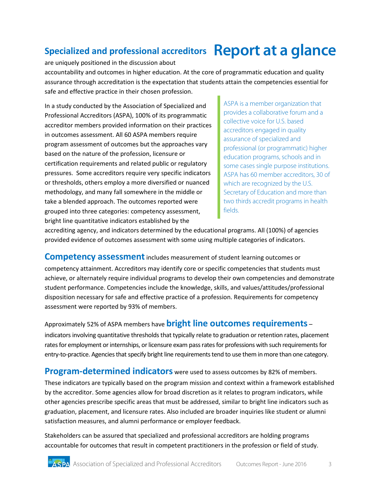## **Specialized and professional accreditors Report at a glance**

are uniquely positioned in the discussion about accountability and outcomes in higher education. At the core of programmatic education and quality assurance through accreditation is the expectation that students attain the competencies essential for safe and effective practice in their chosen profession.

In a study conducted by the Association of Specialized and Professional Accreditors (ASPA), 100% of its programmatic accreditor members provided information on their practices in outcomes assessment. All 60 ASPA members require program assessment of outcomes but the approaches vary based on the nature of the profession, licensure or certification requirements and related public or regulatory pressures. Some accreditors require very specific indicators or thresholds, others employ a more diversified or nuanced methodology, and many fall somewhere in the middle or take a blended approach. The outcomes reported were grouped into three categories: competency assessment, bright line quantitative indicators established by the

ASPA is a member organization that provides a collaborative forum and a collective voice for U.S. based accreditors engaged in quality assurance of specialized and professional (or programmatic) higher education programs, schools and in some cases single purpose institutions. ASPA has 60 member accreditors, 30 of which are recognized by the U.S. Secretary of Education and more than two thirds accredit programs in health fields.

accrediting agency, and indicators determined by the educational programs. All (100%) of agencies provided evidence of outcomes assessment with some using multiple categories of indicators.

**Competency assessment** includes measurement of student learning outcomes or competency attainment. Accreditors may identify core or specific competencies that students must achieve, or alternately require individual programs to develop their own competencies and demonstrate student performance. Competencies include the knowledge, skills, and values/attitudes/professional disposition necessary for safe and effective practice of a profession. Requirements for competency assessment were reported by 93% of members.

### Approximately 52% of ASPA members have **bright line outcomes requirements** –

indicators involving quantitative thresholds that typically relate to graduation or retention rates, placement rates for employment or internships, or licensure exam pass rates for professions with such requirements for entry-to-practice. Agencies that specify bright line requirements tend to use them in more than one category.

**Program-determined indicators** were used to assess outcomes by 82% of members.

These indicators are typically based on the program mission and context within a framework established by the accreditor. Some agencies allow for broad discretion as it relates to program indicators, while other agencies prescribe specific areas that must be addressed, similar to bright line indicators such as graduation, placement, and licensure rates. Also included are broader inquiries like student or alumni satisfaction measures, and alumni performance or employer feedback.

Stakeholders can be assured that specialized and professional accreditors are holding programs accountable for outcomes that result in competent practitioners in the profession or field of study.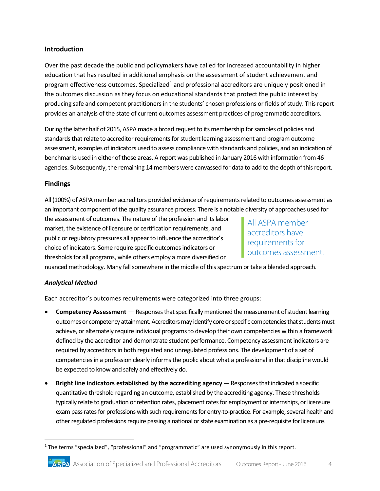#### **Introduction**

Over the past decade the public and policymakers have called for increased accountability in higher education that has resulted in additional emphasis on the assessment of student achievement and program effectiveness outcomes. Specialized<sup>[1](#page-3-0)</sup> and professional accreditors are uniquely positioned in the outcomes discussion as they focus on educational standards that protect the public interest by producing safe and competent practitioners in the students' chosen professions or fields of study. This report provides an analysis of the state of current outcomes assessment practices of programmatic accreditors.

During the latter half of 2015, ASPA made a broad request to its membership forsamples of policies and standards that relate to accreditor requirements for student learning assessment and program outcome assessment, examples of indicators used to assess compliance with standards and policies, and an indication of benchmarks used in either of those areas. A report was published in January 2016 with information from 46 agencies. Subsequently, the remaining 14 members were canvassed for data to add to the depth of this report.

#### **Findings**

All (100%) of ASPA member accreditors provided evidence ofrequirements related to outcomes assessment as an important component of the quality assurance process. There is a notable diversity of approaches used for

the assessment of outcomes. The nature of the profession and its labor market, the existence of licensure or certification requirements, and public or regulatory pressures all appear to influence the accreditor's choice of indicators. Some require specific outcomes indicators or thresholds for all programs, while others employ a more diversified or

All ASPA member accreditors have requirements for outcomes assessment.

nuanced methodology. Many fall somewhere in the middle of this spectrum or take a blended approach.

#### *Analytical Method*

Each accreditor's outcomes requirements were categorized into three groups:

- **Competency Assessment**  Responses that specifically mentioned the measurement of student learning outcomes or competency attainment. Accreditors may identify core or specific competencies that students must achieve, or alternately require individual programs to develop their own competencies within a framework defined by the accreditor and demonstrate student performance. Competency assessment indicators are required by accreditors in both regulated and unregulated professions. The development of a set of competencies in a profession clearly informs the public about what a professional in that discipline would be expected to know and safely and effectively do.
- **Bright line indicators established by the accrediting agency** Responses that indicated a specific quantitative threshold regarding an outcome, established by the accrediting agency. These thresholds typically relate to graduation or retention rates, placement rates for employment or internships, or licensure exam pass rates for professions with such requirements for entry-to-practice. For example, several health and other regulated professions require passing a national or state examination as a pre-requisite for licensure.

<span id="page-3-0"></span> $1$  The terms "specialized", "professional" and "programmatic" are used synonymously in this report.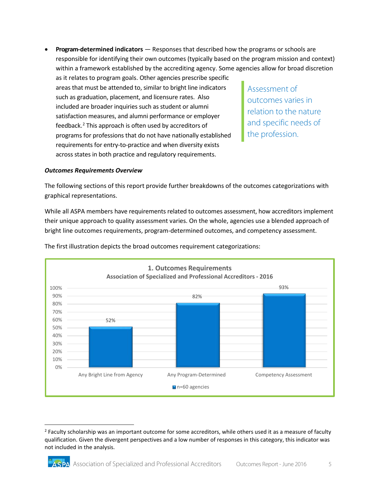• **Program-determined indicators** — Responses that described how the programs or schools are responsible for identifying their own outcomes (typically based on the program mission and context) within a framework established by the accrediting agency. Some agencies allow for broad discretion as it relates to program goals. Other agencies prescribe specific areas that must be attended to, similar to bright line indicators such as graduation, placement, and licensure rates. Also included are broader inquiries such as student or alumni satisfaction measures, and alumni performance or employer feedback.[2](#page-4-0) This approach is often used by accreditors of programs for professions that do not have nationally established requirements for entry-to-practice and when diversity exists across states in both practice and regulatory requirements. Assessment of outcomes varies in relation to the nature and specific needs of the profession.

#### *Outcomes Requirements Overview*

The following sections of this report provide further breakdowns of the outcomes categorizations with graphical representations.

While all ASPA members have requirements related to outcomes assessment, how accreditors implement their unique approach to quality assessment varies. On the whole, agencies use a blended approach of bright line outcomes requirements, program-determined outcomes, and competency assessment.



The first illustration depicts the broad outcomes requirement categorizations:

<span id="page-4-0"></span><sup>&</sup>lt;sup>2</sup> Faculty scholarship was an important outcome for some accreditors, while others used it as a measure of faculty qualification. Given the divergent perspectives and a low number of responses in this category, this indicator was not included in the analysis.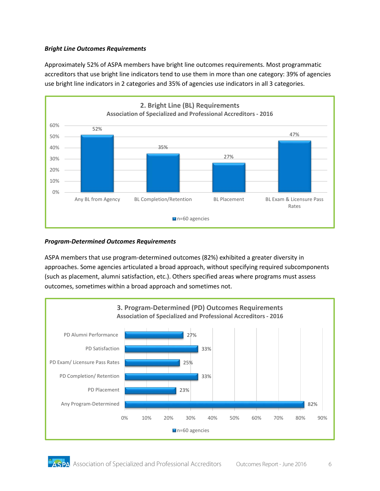#### *Bright Line Outcomes Requirements*

Approximately 52% of ASPA members have bright line outcomes requirements. Most programmatic accreditors that use bright line indicators tend to use them in more than one category: 39% of agencies use bright line indicators in 2 categories and 35% of agencies use indicators in all 3 categories.



#### *Program-Determined Outcomes Requirements*

ASPA members that use program-determined outcomes (82%) exhibited a greater diversity in approaches. Some agencies articulated a broad approach, without specifying required subcomponents (such as placement, alumni satisfaction, etc.). Others specified areas where programs must assess outcomes, sometimes within a broad approach and sometimes not.

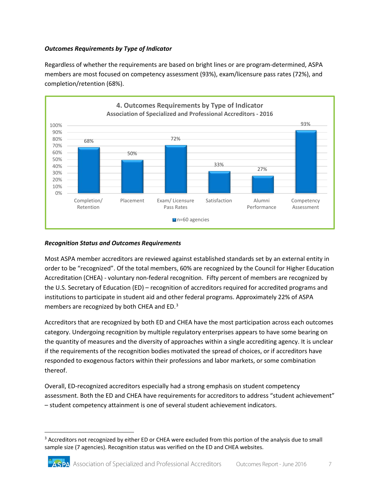#### *Outcomes Requirements by Type of Indicator*

Regardless of whether the requirements are based on bright lines or are program-determined, ASPA members are most focused on competency assessment (93%), exam/licensure pass rates (72%), and completion/retention (68%).



#### *Recognition Status and Outcomes Requirements*

Most ASPA member accreditors are reviewed against established standards set by an external entity in order to be "recognized". Of the total members, 60% are recognized by the Council for Higher Education Accreditation (CHEA) - voluntary non-federal recognition. Fifty percent of members are recognized by the U.S. Secretary of Education (ED) – recognition of accreditors required for accredited programs and institutions to participate in student aid and other federal programs. Approximately 22% of ASPA members are recognized by both CHEA and ED.<sup>[3](#page-6-0)</sup>

Accreditors that are recognized by both ED and CHEA have the most participation across each outcomes category. Undergoing recognition by multiple regulatory enterprises appears to have some bearing on the quantity of measures and the diversity of approaches within a single accrediting agency. It is unclear if the requirements of the recognition bodies motivated the spread of choices, or if accreditors have responded to exogenous factors within their professions and labor markets, or some combination thereof.

Overall, ED-recognized accreditors especially had a strong emphasis on student competency assessment. Both the ED and CHEA have requirements for accreditors to address "student achievement" – student competency attainment is one of several student achievement indicators.

<span id="page-6-0"></span><sup>&</sup>lt;sup>3</sup> Accreditors not recognized by either ED or CHEA were excluded from this portion of the analysis due to small sample size (7 agencies). Recognition status was verified on the ED and CHEA websites.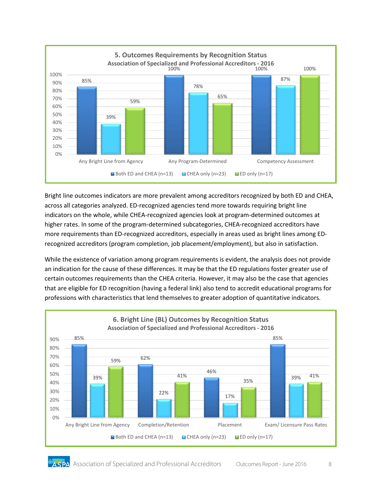

Bright line outcomes indicators are more prevalent among accreditors recognized by both ED and CHEA, across all categories analyzed. ED-recognized agencies tend more towards requiring bright line indicators on the whole, while CHEA-recognized agencies look at program-determined outcomes at higher rates. In some of the program-determined subcategories, CHEA-recognized accreditors have more requirements than ED-recognized accreditors, especially in areas used as bright lines among EDrecognized accreditors (program completion, job placement/employment), but also in satisfaction.

While the existence of variation among program requirements is evident, the analysis does not provide an indication for the cause of these differences. It may be that the ED regulations foster greater use of certain outcomes requirements than the CHEA criteria. However, it may also be the case that agencies that are eligible for ED recognition (having a federal link) also tend to accredit educational programs for professions with characteristics that lend themselves to greater adoption of quantitative indicators.

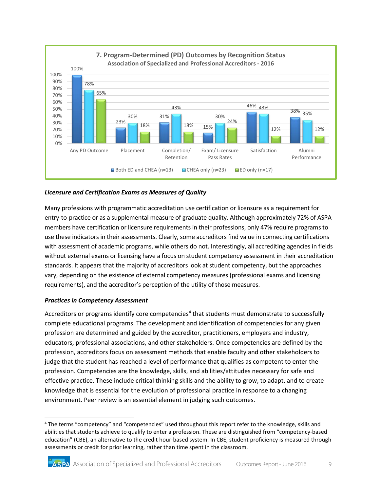

#### *Licensure and Certification Exams as Measures of Quality*

Many professions with programmatic accreditation use certification or licensure as a requirement for entry-to-practice or as a supplemental measure of graduate quality. Although approximately 72% of ASPA members have certification or licensure requirements in their professions, only 47% require programs to use these indicators in their assessments. Clearly, some accreditors find value in connecting certifications with assessment of academic programs, while others do not. Interestingly, all accrediting agencies in fields without external exams or licensing have a focus on student competency assessment in their accreditation standards. It appears that the majority of accreditors look at student competency, but the approaches vary, depending on the existence of external competency measures (professional exams and licensing requirements), and the accreditor's perception of the utility of those measures.

#### *Practices in Competency Assessment*

Accreditors or programs identify core competencies<sup>4</sup> that students must demonstrate to successfully complete educational programs. The development and identification of competencies for any given profession are determined and guided by the accreditor, practitioners, employers and industry, educators, professional associations, and other stakeholders. Once competencies are defined by the profession, accreditors focus on assessment methods that enable faculty and other stakeholders to judge that the student has reached a level of performance that qualifies as competent to enter the profession. Competencies are the knowledge, skills, and abilities/attitudes necessary for safe and effective practice. These include critical thinking skills and the ability to grow, to adapt, and to create knowledge that is essential for the evolution of professional practice in response to a changing environment. Peer review is an essential element in judging such outcomes.

<span id="page-8-0"></span><sup>4</sup> The terms "competency" and "competencies" used throughout this report refer to the knowledge, skills and abilities that students achieve to qualify to enter a profession. These are distinguished from "competency-based education" (CBE), an alternative to the credit hour-based system. In CBE, student proficiency is measured through assessments or credit for prior learning, rather than time spent in the classroom.